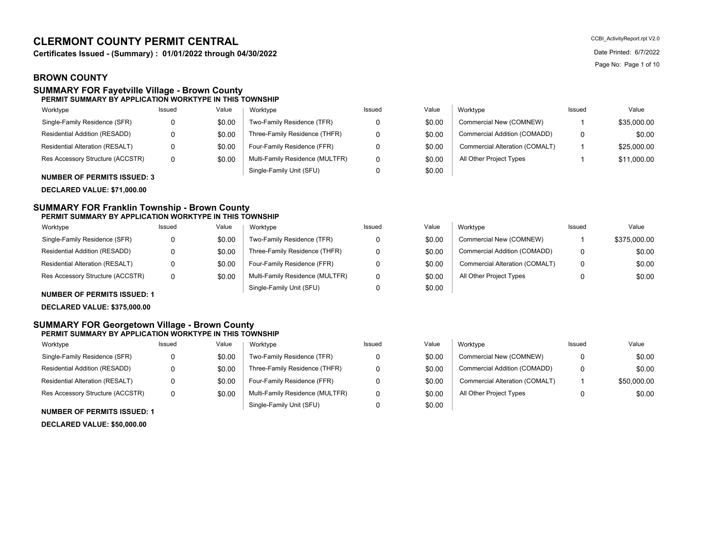# **CLERMONT COUNTY PERMIT CENTRAL**

**Certificates Issued - (Summary) : 01/01/2022 through 04/30/2022** Date **Date Printed: 6/7/2022** Date Printed: 6/7/2022

## **BROWN COUNTY**

#### **SUMMARY FOR Fayetville Village - Brown County PERMIT SUMMARY BY APPLICATION WORKTYPE IN THIS TOWNSHIP**

## Value | Worktyne Worktype

| .                                |        | .                               |          |
|----------------------------------|--------|---------------------------------|----------|
| Single-Family Residence (SFR)    | \$0.00 | Two-Family Residence (TFR)      | 0        |
| Residential Addition (RESADD)    | \$0.00 | Three-Family Residence (THFR)   | 0        |
| Residential Alteration (RESALT)  | \$0.00 | Four-Family Residence (FFR)     | 0        |
| Res Accessory Structure (ACCSTR) | \$0.00 | Multi-Family Residence (MULTFR) | $\Omega$ |
|                                  |        | Single-Family Unit (SFU)        | 0        |

**NUMBER OF PERMITS ISSUED: 3**

**DECLARED VALUE: \$71,000.00**

#### **SUMMARY FOR Franklin Township - Brown County PERMIT SUMMARY BY APPLICATION WORKTYPE IN THIS TOWNSHIP**

| Worktype                             | Issued | Value  | Worktype                        | Issued | Value  | Worktype                       | Issued | Value        |
|--------------------------------------|--------|--------|---------------------------------|--------|--------|--------------------------------|--------|--------------|
| Single-Family Residence (SFR)        |        | \$0.00 | Two-Family Residence (TFR)      |        | \$0.00 | Commercial New (COMNEW)        |        | \$375,000.00 |
| <b>Residential Addition (RESADD)</b> |        | \$0.00 | Three-Family Residence (THFR)   |        | \$0.00 | Commercial Addition (COMADD)   | 0      | \$0.00       |
| Residential Alteration (RESALT)      |        | \$0.00 | Four-Family Residence (FFR)     |        | \$0.00 | Commercial Alteration (COMALT) | 0      | \$0.00       |
| Res Accessory Structure (ACCSTR)     |        | \$0.00 | Multi-Family Residence (MULTFR) |        | \$0.00 | All Other Project Types        |        | \$0.00       |
|                                      |        |        | Single-Family Unit (SFU)        |        | \$0.00 |                                |        |              |

**NUMBER OF PERMITS ISSUED: 1**

**DECLARED VALUE: \$375,000.00**

#### **SUMMARY FOR Georgetown Village - Brown County PERMIT SUMMARY BY APPLICATION WORKTYPE IN THIS TOWNSHIP**

| Worktype                         | Issued | Value  | Worktype                        | Issued | Value  | Worktype                       | Issued | Value       |
|----------------------------------|--------|--------|---------------------------------|--------|--------|--------------------------------|--------|-------------|
| Single-Family Residence (SFR)    |        | \$0.00 | Two-Family Residence (TFR)      |        | \$0.00 | Commercial New (COMNEW)        | 0      | \$0.00      |
| Residential Addition (RESADD)    |        | \$0.00 | Three-Family Residence (THFR)   |        | \$0.00 | Commercial Addition (COMADD)   | 0      | \$0.00      |
| Residential Alteration (RESALT)  |        | \$0.00 | Four-Family Residence (FFR)     |        | \$0.00 | Commercial Alteration (COMALT) |        | \$50,000.00 |
| Res Accessory Structure (ACCSTR) | 0      | \$0.00 | Multi-Family Residence (MULTFR) |        | \$0.00 | All Other Project Types        |        | \$0.00      |
| NUMBER OF PERMITS ISSUED: 1      |        |        | Single-Family Unit (SFU)        |        | \$0.00 |                                |        |             |

# **DECLARED VALUE: \$50,000.00**

CCBI\_ActivityReport.rpt V2.0 Page No: Page 1 of 10

| Issued | Value  | Worktype                        | Issued | Value  | Worktype                       | Issued | Value       |
|--------|--------|---------------------------------|--------|--------|--------------------------------|--------|-------------|
|        | \$0.00 | Two-Family Residence (TFR)      |        | \$0.00 | Commercial New (COMNEW)        |        | \$35,000.00 |
|        | \$0.00 | Three-Family Residence (THFR)   |        | \$0.00 | Commercial Addition (COMADD)   |        | \$0.00      |
|        | \$0.00 | Four-Family Residence (FFR)     |        | \$0.00 | Commercial Alteration (COMALT) |        | \$25,000.00 |
|        | \$0.00 | Multi-Family Residence (MULTFR) |        | \$0.00 | All Other Project Types        |        | \$11,000.00 |
|        |        | Single-Family Unit (SFU)        |        | \$0.00 |                                |        |             |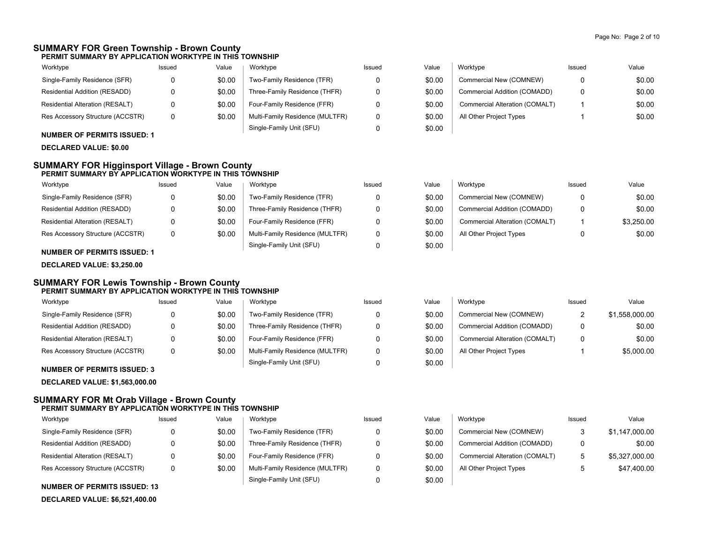#### **SUMMARY FOR Green Township - Brown County PERMIT SUMMARY BY APPLICATION WORKTYPE IN THIS TOWNSHIP**

| Worktype                         | Issued | Value  | Worktype                        | Issued | Value  | Worktype                       | Issued | Value  |
|----------------------------------|--------|--------|---------------------------------|--------|--------|--------------------------------|--------|--------|
| Single-Family Residence (SFR)    |        | \$0.00 | Two-Family Residence (TFR)      |        | \$0.00 | Commercial New (COMNEW)        | 0      | \$0.00 |
| Residential Addition (RESADD)    |        | \$0.00 | Three-Family Residence (THFR)   |        | \$0.00 | Commercial Addition (COMADD)   | 0      | \$0.00 |
| Residential Alteration (RESALT)  |        | \$0.00 | Four-Family Residence (FFR)     |        | \$0.00 | Commercial Alteration (COMALT) |        | \$0.00 |
| Res Accessory Structure (ACCSTR) |        | \$0.00 | Multi-Family Residence (MULTFR) |        | \$0.00 | All Other Project Types        |        | \$0.00 |
|                                  |        |        | Single-Family Unit (SFU)        |        | \$0.00 |                                |        |        |

### **NUMBER OF PERMITS ISSUED: 1**

**DECLARED VALUE: \$0.00**

#### **SUMMARY FOR Higginsport Village - Brown County PERMIT SUMMARY BY APPLICATION WORKTYPE IN THIS TOWNSHIP**

| Worktype                         | Issued | Value  | Worktype                        | Issued | Value  | Worktype                       | Issued | Value      |
|----------------------------------|--------|--------|---------------------------------|--------|--------|--------------------------------|--------|------------|
| Single-Family Residence (SFR)    |        | \$0.00 | Two-Family Residence (TFR)      |        | \$0.00 | Commercial New (COMNEW)        |        | \$0.00     |
| Residential Addition (RESADD)    |        | \$0.00 | Three-Family Residence (THFR)   |        | \$0.00 | Commercial Addition (COMADD)   |        | \$0.00     |
| Residential Alteration (RESALT)  |        | \$0.00 | Four-Family Residence (FFR)     |        | \$0.00 | Commercial Alteration (COMALT) |        | \$3.250.00 |
| Res Accessory Structure (ACCSTR) |        | \$0.00 | Multi-Family Residence (MULTFR) |        | \$0.00 | All Other Project Types        |        | \$0.00     |
|                                  |        |        | Single-Family Unit (SFU)        |        | \$0.00 |                                |        |            |

#### **NUMBER OF PERMITS ISSUED: 1**

**DECLARED VALUE: \$3,250.00**

#### **SUMMARY FOR Lewis Township - Brown County PERMIT SUMMARY BY APPLICATION WORKTYPE IN THIS TOWNSHIP**

| Worktype                           | Issued | Value  | Worktype                        | Issued | Value  | Worktype                       | Issued | Value          |
|------------------------------------|--------|--------|---------------------------------|--------|--------|--------------------------------|--------|----------------|
| Single-Family Residence (SFR)      | 0      | \$0.00 | Two-Family Residence (TFR)      |        | \$0.00 | Commercial New (COMNEW)        |        | \$1,558,000.00 |
| Residential Addition (RESADD)      | 0      | \$0.00 | Three-Family Residence (THFR)   |        | \$0.00 | Commercial Addition (COMADD)   |        | \$0.00         |
| Residential Alteration (RESALT)    | 0      | \$0.00 | Four-Family Residence (FFR)     |        | \$0.00 | Commercial Alteration (COMALT) | 0      | \$0.00         |
| Res Accessory Structure (ACCSTR)   | 0      | \$0.00 | Multi-Family Residence (MULTFR) |        | \$0.00 | All Other Project Types        |        | \$5,000.00     |
| <b>NUMBER OF PERMITS ISSUED: 3</b> |        |        | Single-Family Unit (SFU)        |        | \$0.00 |                                |        |                |

**DECLARED VALUE: \$1,563,000.00**

### **SUMMARY FOR Mt Orab Village - Brown County PERMIT SUMMARY BY APPLICATION WORKTYPE IN THIS TOWNSHIP**

| Worktype                               | Issued | Value  | Worktype                        | Issued | Value  | Worktype                       | <b>Issued</b> | Value          |
|----------------------------------------|--------|--------|---------------------------------|--------|--------|--------------------------------|---------------|----------------|
| Single-Family Residence (SFR)          | 0      | \$0.00 | Two-Family Residence (TFR)      |        | \$0.00 | Commercial New (COMNEW)        |               | \$1,147,000.00 |
| Residential Addition (RESADD)          | 0      | \$0.00 | Three-Family Residence (THFR)   |        | \$0.00 | Commercial Addition (COMADD)   | 0             | \$0.00         |
| <b>Residential Alteration (RESALT)</b> | 0      | \$0.00 | Four-Family Residence (FFR)     |        | \$0.00 | Commercial Alteration (COMALT) | h             | \$5,327,000.00 |
| Res Accessory Structure (ACCSTR)       | 0      | \$0.00 | Multi-Family Residence (MULTFR) |        | \$0.00 | All Other Project Types        |               | \$47,400.00    |
| <b>NUMBER OF PERMITS ISSUED: 13</b>    |        |        | Single-Family Unit (SFU)        |        | \$0.00 |                                |               |                |

## **DECLARED VALUE: \$6,521,400.00**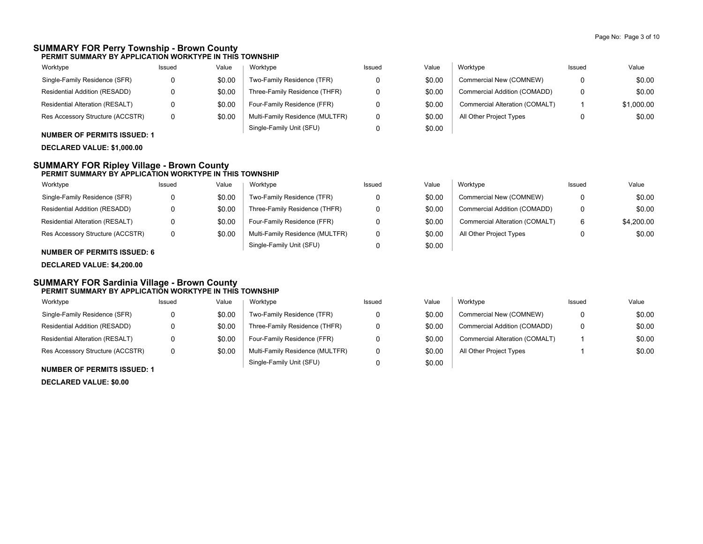#### **SUMMARY FOR Perry Township - Brown County PERMIT SUMMARY BY APPLICATION WORKTYPE IN THIS TOWNSHIP**

| Worktype                         | Issued | Value  | Worktype                        | Issued | Value  | Worktype                       | Issued   | Value      |
|----------------------------------|--------|--------|---------------------------------|--------|--------|--------------------------------|----------|------------|
| Single-Family Residence (SFR)    |        | \$0.00 | Two-Family Residence (TFR)      |        | \$0.00 | Commercial New (COMNEW)        | $\Omega$ | \$0.00     |
| Residential Addition (RESADD)    |        | \$0.00 | Three-Family Residence (THFR)   |        | \$0.00 | Commercial Addition (COMADD)   | $\Omega$ | \$0.00     |
| Residential Alteration (RESALT)  |        | \$0.00 | Four-Family Residence (FFR)     |        | \$0.00 | Commercial Alteration (COMALT) |          | \$1,000.00 |
| Res Accessory Structure (ACCSTR) |        | \$0.00 | Multi-Family Residence (MULTFR) |        | \$0.00 | All Other Project Types        |          | \$0.00     |
|                                  |        |        | Single-Family Unit (SFU)        |        | \$0.00 |                                |          |            |

### **NUMBER OF PERMITS ISSUED: 1**

**DECLARED VALUE: \$1,000.00**

#### **SUMMARY FOR Ripley Village - Brown County PERMIT SUMMARY BY APPLICATION WORKTYPE IN THIS TOWNSHIP**

| Worktype                         | Issued | Value  | Worktype                        | Issued | Value  | Worktype                       | Issued | Value      |
|----------------------------------|--------|--------|---------------------------------|--------|--------|--------------------------------|--------|------------|
| Single-Family Residence (SFR)    |        | \$0.00 | Two-Family Residence (TFR)      |        | \$0.00 | Commercial New (COMNEW)        |        | \$0.00     |
| Residential Addition (RESADD)    |        | \$0.00 | Three-Family Residence (THFR)   |        | \$0.00 | Commercial Addition (COMADD)   |        | \$0.00     |
| Residential Alteration (RESALT)  |        | \$0.00 | Four-Family Residence (FFR)     |        | \$0.00 | Commercial Alteration (COMALT) | 6      | \$4,200.00 |
| Res Accessory Structure (ACCSTR) |        | \$0.00 | Multi-Family Residence (MULTFR) |        | \$0.00 | All Other Project Types        |        | \$0.00     |
|                                  |        |        | Single-Family Unit (SFU)        |        | \$0.00 |                                |        |            |

### **NUMBER OF PERMITS ISSUED: 6**

**DECLARED VALUE: \$4,200.00**

#### **SUMMARY FOR Sardinia Village - Brown County PERMIT SUMMARY BY APPLICATION WORKTYPE IN THIS TOWNSHIP**

| Worktype                                                                                                                                                                                                                                                                                                                                                                                                                                                   | Issued | Value  | Worktype                        | Issued | Value  | Worktype                       | Issued   | Value  |
|------------------------------------------------------------------------------------------------------------------------------------------------------------------------------------------------------------------------------------------------------------------------------------------------------------------------------------------------------------------------------------------------------------------------------------------------------------|--------|--------|---------------------------------|--------|--------|--------------------------------|----------|--------|
| Single-Family Residence (SFR)                                                                                                                                                                                                                                                                                                                                                                                                                              |        | \$0.00 | Two-Family Residence (TFR)      |        | \$0.00 | Commercial New (COMNEW)        | $\Omega$ | \$0.00 |
| Residential Addition (RESADD)                                                                                                                                                                                                                                                                                                                                                                                                                              |        | \$0.00 | Three-Family Residence (THFR)   |        | \$0.00 | Commercial Addition (COMADD)   | $\Omega$ | \$0.00 |
| <b>Residential Alteration (RESALT)</b>                                                                                                                                                                                                                                                                                                                                                                                                                     |        | \$0.00 | Four-Family Residence (FFR)     |        | \$0.00 | Commercial Alteration (COMALT) |          | \$0.00 |
| Res Accessory Structure (ACCSTR)                                                                                                                                                                                                                                                                                                                                                                                                                           | 0      | \$0.00 | Multi-Family Residence (MULTFR) |        | \$0.00 | All Other Project Types        |          | \$0.00 |
| $\mathbf{1} \cup \mathbf{1} \cup \mathbf{2} \cup \mathbf{3} \cup \mathbf{4} \cup \mathbf{5} \cup \mathbf{6} \cup \mathbf{5} \cup \mathbf{6} \cup \mathbf{7} \cup \mathbf{8} \cup \mathbf{8} \cup \mathbf{9} \cup \mathbf{1} \cup \mathbf{1} \cup \mathbf{1} \cup \mathbf{1} \cup \mathbf{1} \cup \mathbf{1} \cup \mathbf{1} \cup \mathbf{1} \cup \mathbf{1} \cup \mathbf{1} \cup \mathbf{1} \cup \mathbf{1} \cup \mathbf{1} \cup \mathbf{1} \cup \mathbf{$ |        |        | Single-Family Unit (SFU)        |        | \$0.00 |                                |          |        |

#### **NUMBER OF PERMITS ISSUED: 1**

**DECLARED VALUE: \$0.00**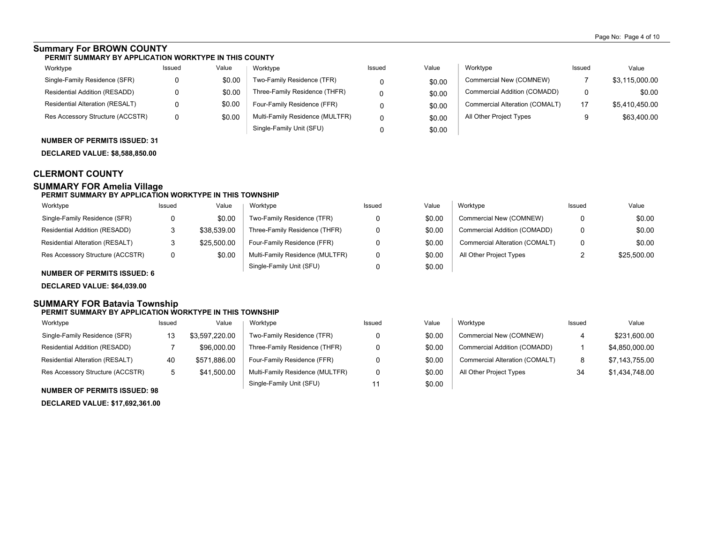## **Summary For BROWN COUNTY**

#### **PERMIT SUMMARY BY APPLICATION WORKTYPE IN THIS COUNTY**

| Worktype                               | Issued | Value  | Worktype                        | Issued | Value  | Worktype                       | Issued | Value          |
|----------------------------------------|--------|--------|---------------------------------|--------|--------|--------------------------------|--------|----------------|
| Single-Family Residence (SFR)          |        | \$0.00 | Two-Family Residence (TFR)      |        | \$0.00 | Commercial New (COMNEW)        |        | \$3,115,000.00 |
| Residential Addition (RESADD)          |        | \$0.00 | Three-Family Residence (THFR)   |        | \$0.00 | Commercial Addition (COMADD)   |        | \$0.00         |
| <b>Residential Alteration (RESALT)</b> |        | \$0.00 | Four-Family Residence (FFR)     |        | \$0.00 | Commercial Alteration (COMALT) | 17     | \$5,410,450.00 |
| Res Accessory Structure (ACCSTR)       |        | \$0.00 | Multi-Family Residence (MULTFR) |        | \$0.00 | All Other Project Types        |        | \$63,400.00    |
|                                        |        |        | Single-Family Unit (SFU)        |        | \$0.00 |                                |        |                |

#### **NUMBER OF PERMITS ISSUED: 31**

**DECLARED VALUE: \$8,588,850.00**

## **CLERMONT COUNTY**

## **SUMMARY FOR Amelia Village**

#### **PERMIT SUMMARY BY APPLICATION WORKTYPE IN THIS TOWNSHIP**

| Worktype                         | Issued | Value       | Worktvpe                        | Issued | Value  | Worktype                       | Issued | Value       |
|----------------------------------|--------|-------------|---------------------------------|--------|--------|--------------------------------|--------|-------------|
| Single-Family Residence (SFR)    |        | \$0.00      | Two-Family Residence (TFR)      |        | \$0.00 | Commercial New (COMNEW)        | 0      | \$0.00      |
| Residential Addition (RESADD)    | ັ      | \$38.539.00 | Three-Family Residence (THFR)   |        | \$0.00 | Commercial Addition (COMADD)   | 0      | \$0.00      |
| Residential Alteration (RESALT)  | ັ      | \$25,500.00 | Four-Family Residence (FFR)     |        | \$0.00 | Commercial Alteration (COMALT) | 0      | \$0.00      |
| Res Accessory Structure (ACCSTR) | v      | \$0.00      | Multi-Family Residence (MULTFR) |        | \$0.00 | All Other Project Types        |        | \$25,500.00 |
|                                  |        |             | Single-Family Unit (SFU)        |        | \$0.00 |                                |        |             |

## **NUMBER OF PERMITS ISSUED: 6**

**DECLARED VALUE: \$64,039.00**

#### **SUMMARY FOR Batavia Township PERMIT SUMMARY BY APPLICATION WORKTYPE IN THIS TOWNSHIP**

| Worktype                         | Issued | Value          | Worktype                        | Issued | Value  | Worktype                       | Issued | Value          |
|----------------------------------|--------|----------------|---------------------------------|--------|--------|--------------------------------|--------|----------------|
| Single-Family Residence (SFR)    | 13     | \$3.597.220.00 | Two-Family Residence (TFR)      |        | \$0.00 | Commercial New (COMNEW)        | 4      | \$231,600.00   |
| Residential Addition (RESADD)    |        | \$96,000.00    | Three-Family Residence (THFR)   |        | \$0.00 | Commercial Addition (COMADD)   |        | \$4,850,000.00 |
| Residential Alteration (RESALT)  | 40     | \$571.886.00   | Four-Family Residence (FFR)     |        | \$0.00 | Commercial Alteration (COMALT) | O      | \$7,143,755.00 |
| Res Accessory Structure (ACCSTR) |        | \$41.500.00    | Multi-Family Residence (MULTFR) |        | \$0.00 | All Other Project Types        | 34     | \$1,434,748.00 |
|                                  |        |                | Single-Family Unit (SFU)        |        | \$0.00 |                                |        |                |

#### **NUMBER OF PERMITS ISSUED: 98**

**DECLARED VALUE: \$17,692,361.00**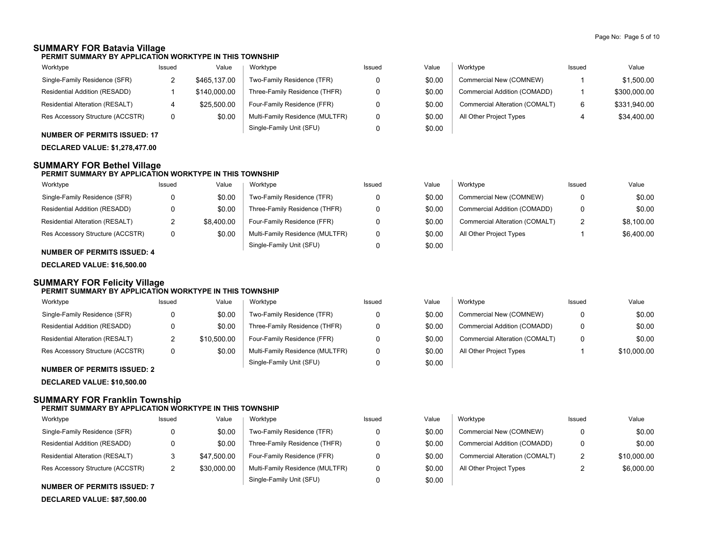\$0.00 \$0.00 \$0.00 \$10,000.00

# **SUMMARY FOR Batavia Village**

**PERMIT SUMMARY BY APPLICATION WORKTYPE IN THIS TOWNSHIP**

| Worktype                               | Issued | Value        | Worktype                        | Issued | Value  | Worktype                       | Issued | Value        |
|----------------------------------------|--------|--------------|---------------------------------|--------|--------|--------------------------------|--------|--------------|
| Single-Family Residence (SFR)          |        | \$465.137.00 | Two-Family Residence (TFR)      |        | \$0.00 | Commercial New (COMNEW)        |        | \$1.500.00   |
| Residential Addition (RESADD)          |        | \$140,000.00 | Three-Family Residence (THFR)   |        | \$0.00 | Commercial Addition (COMADD)   |        | \$300,000.00 |
| <b>Residential Alteration (RESALT)</b> |        | \$25.500.00  | Four-Family Residence (FFR)     |        | \$0.00 | Commercial Alteration (COMALT) | 6      | \$331.940.00 |
| Res Accessory Structure (ACCSTR)       |        | \$0.00       | Multi-Family Residence (MULTFR) |        | \$0.00 | All Other Project Types        | 4      | \$34,400.00  |
|                                        |        |              | Single-Family Unit (SFU)        |        | \$0.00 |                                |        |              |

**NUMBER OF PERMITS ISSUED: 17**

# **DECLARED VALUE: \$1,278,477.00**

## **SUMMARY FOR Bethel Village**

#### **PERMIT SUMMARY BY APPLICATION WORKTYPE IN THIS TOWNSHIP**

| Worktype                                         | Issued   | Value      | Worktype                        | Issued | Value  | Worktype                       | Issued | Value      |
|--------------------------------------------------|----------|------------|---------------------------------|--------|--------|--------------------------------|--------|------------|
| Single-Family Residence (SFR)                    |          | \$0.00     | Two-Family Residence (TFR)      |        | \$0.00 | Commercial New (COMNEW)        |        | \$0.00     |
| Residential Addition (RESADD)                    |          | \$0.00     | Three-Family Residence (THFR)   |        | \$0.00 | Commercial Addition (COMADD)   |        | \$0.00     |
| Residential Alteration (RESALT)                  | <u>.</u> | \$8,400.00 | Four-Family Residence (FFR)     |        | \$0.00 | Commercial Alteration (COMALT) | ົ      | \$8.100.00 |
| Res Accessory Structure (ACCSTR)                 |          | \$0.00     | Multi-Family Residence (MULTFR) |        | \$0.00 | All Other Project Types        |        | \$6,400.00 |
| $\ddotsc$ . The second of $\ddotsc$ of $\ddotsc$ |          |            | Single-Family Unit (SFU)        |        | \$0.00 |                                |        |            |

## **NUMBER OF PERMITS ISSUED: 4**

**DECLARED VALUE: \$16,500.00**

#### **SUMMARY FOR Felicity Village PERMIT SUMMARY BY APPLICATION WORKTYPE IN THIS TOWNSHIP**

| Worktype                         | Issued | Value       | Worktype                        | Issued | Value  | Worktvpe                       | Issued   | Value    |
|----------------------------------|--------|-------------|---------------------------------|--------|--------|--------------------------------|----------|----------|
| Single-Family Residence (SFR)    |        | \$0.00      | Two-Family Residence (TFR)      | 0      | \$0.00 | Commercial New (COMNEW)        |          | \$0      |
| Residential Addition (RESADD)    |        | \$0.00      | Three-Family Residence (THFR)   | 0      | \$0.00 | Commercial Addition (COMADD)   | n        | \$0      |
| Residential Alteration (RESALT)  |        | \$10,500.00 | Four-Family Residence (FFR)     | n      | \$0.00 | Commercial Alteration (COMALT) | $\Omega$ | \$0      |
| Res Accessory Structure (ACCSTR) |        | \$0.00      | Multi-Family Residence (MULTFR) | 0      | \$0.00 | All Other Project Types        |          | \$10,000 |
|                                  |        |             | Single-Family Unit (SFU)        |        | \$0.00 |                                |          |          |

#### **NUMBER OF PERMITS ISSUED: 2**

**DECLARED VALUE: \$10,500.00**

## **SUMMARY FOR Franklin Township**

#### **PERMIT SUMMARY BY APPLICATION WORKTYPE IN THIS TOWNSHIP**

| Worktype                         | Issued | Value       | Worktype                        | Issued | Value  | Worktype                       | Issued | Value       |
|----------------------------------|--------|-------------|---------------------------------|--------|--------|--------------------------------|--------|-------------|
| Single-Family Residence (SFR)    |        | \$0.00      | Two-Family Residence (TFR)      |        | \$0.00 | Commercial New (COMNEW)        |        | \$0.00      |
| Residential Addition (RESADD)    |        | \$0.00      | Three-Family Residence (THFR)   |        | \$0.00 | Commercial Addition (COMADD)   | 0      | \$0.00      |
| Residential Alteration (RESALT)  |        | \$47,500.00 | Four-Family Residence (FFR)     |        | \$0.00 | Commercial Alteration (COMALT) | າ<br>∼ | \$10,000.00 |
| Res Accessory Structure (ACCSTR) |        | \$30,000.00 | Multi-Family Residence (MULTFR) |        | \$0.00 | All Other Project Types        |        | \$6,000.00  |
|                                  |        |             | Single-Family Unit (SFU)        |        | \$0.00 |                                |        |             |

#### **NUMBER OF PERMITS ISSUED: 7**

**DECLARED VALUE: \$87,500.00**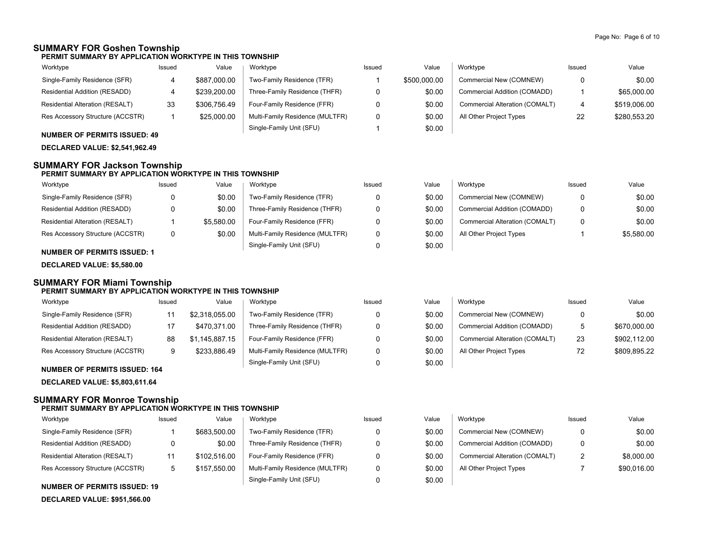## **SUMMARY FOR Goshen Township**

**PERMIT SUMMARY BY APPLICATION WORKTYPE IN THIS TOWNSHIP**

| Worktype                               | Issued | Value        | Worktype                        | Issued | Value        | Worktype                       | Issued | Value        |
|----------------------------------------|--------|--------------|---------------------------------|--------|--------------|--------------------------------|--------|--------------|
| Single-Family Residence (SFR)          |        | \$887,000.00 | Two-Family Residence (TFR)      |        | \$500,000.00 | Commercial New (COMNEW)        |        | \$0.00       |
| Residential Addition (RESADD)          |        | \$239,200.00 | Three-Family Residence (THFR)   |        | \$0.00       | Commercial Addition (COMADD)   |        | \$65,000.00  |
| <b>Residential Alteration (RESALT)</b> | 33     | \$306.756.49 | Four-Family Residence (FFR)     |        | \$0.00       | Commercial Alteration (COMALT) |        | \$519,006.00 |
| Res Accessory Structure (ACCSTR)       |        | \$25,000.00  | Multi-Family Residence (MULTFR) |        | \$0.00       | All Other Project Types        | 22     | \$280.553.20 |
|                                        |        |              | Single-Family Unit (SFU)        |        | \$0.00       |                                |        |              |

## **NUMBER OF PERMITS ISSUED: 49**

**DECLARED VALUE: \$2,541,962.49**

## **SUMMARY FOR Jackson Township**

## **PERMIT SUMMARY BY APPLICATION WORKTYPE IN THIS TOWNSHIP**

| Worktype                         | Issued | Value      | Worktype                        | Issued | Value  | Worktype                       | Issued   | Value      |
|----------------------------------|--------|------------|---------------------------------|--------|--------|--------------------------------|----------|------------|
| Single-Family Residence (SFR)    | 0      | \$0.00     | Two-Family Residence (TFR)      |        | \$0.00 | Commercial New (COMNEW)        | $\Omega$ | \$0.00     |
| Residential Addition (RESADD)    | 0      | \$0.00     | Three-Family Residence (THFR)   |        | \$0.00 | Commercial Addition (COMADD)   | 0        | \$0.00     |
| Residential Alteration (RESALT)  |        | \$5.580.00 | Four-Family Residence (FFR)     |        | \$0.00 | Commercial Alteration (COMALT) | 0        | \$0.00     |
| Res Accessory Structure (ACCSTR) | 0      | \$0.00     | Multi-Family Residence (MULTFR) |        | \$0.00 | All Other Project Types        |          | \$5.580.00 |
|                                  |        |            | Single-Family Unit (SFU)        |        | \$0.00 |                                |          |            |

### **NUMBER OF PERMITS ISSUED: 1**

**DECLARED VALUE: \$5,580.00**

#### **SUMMARY FOR Miami Township PERMIT SUMMARY BY APPLICATION WORKTYPE IN THIS TOWNSHIP**

| Worktype                         | Issued | Value                    | Worktype                        | Issued | Value  | Worktype                       | Issued | Value        |
|----------------------------------|--------|--------------------------|---------------------------------|--------|--------|--------------------------------|--------|--------------|
| Single-Family Residence (SFR)    |        | \$2,318,055.00           | Two-Family Residence (TFR)      |        | \$0.00 | Commercial New (COMNEW)        |        | \$0.00       |
| Residential Addition (RESADD)    | 17     | \$470.371.00             | Three-Family Residence (THFR)   |        | \$0.00 | Commercial Addition (COMADD)   | 5      | \$670,000.00 |
| Residential Alteration (RESALT)  | 88     | \$1,145,887.15           | Four-Family Residence (FFR)     |        | \$0.00 | Commercial Alteration (COMALT) | 23     | \$902.112.00 |
| Res Accessory Structure (ACCSTR) | 9      | \$233,886.49             | Multi-Family Residence (MULTFR) |        | \$0.00 | All Other Project Types        | 72     | \$809.895.22 |
| NUBLEM OF BEBRIER IOOUEB, 101    |        | Single-Family Unit (SFU) |                                 | \$0.00 |        |                                |        |              |

#### **NUMBER OF PERMITS ISSUED: 164**

**DECLARED VALUE: \$5,803,611.64**

## **SUMMARY FOR Monroe Township**

#### **PERMIT SUMMARY BY APPLICATION WORKTYPE IN THIS TOWNSHIP**

| Worktype                         | Issued | Value        | Worktype                        | Issued | Value  | Worktype                       | Issued   | Value       |
|----------------------------------|--------|--------------|---------------------------------|--------|--------|--------------------------------|----------|-------------|
| Single-Family Residence (SFR)    |        | \$683,500.00 | Two-Family Residence (TFR)      |        | \$0.00 | Commercial New (COMNEW)        | $\Omega$ | \$0.00      |
| Residential Addition (RESADD)    |        | \$0.00       | Three-Family Residence (THFR)   |        | \$0.00 | Commercial Addition (COMADD)   | 0        | \$0.00      |
| Residential Alteration (RESALT)  |        | \$102.516.00 | Four-Family Residence (FFR)     |        | \$0.00 | Commercial Alteration (COMALT) | າ        | \$8,000.00  |
| Res Accessory Structure (ACCSTR) |        | \$157.550.00 | Multi-Family Residence (MULTFR) |        | \$0.00 | All Other Project Types        |          | \$90,016.00 |
|                                  |        |              | Single-Family Unit (SFU)        |        | \$0.00 |                                |          |             |

#### **NUMBER OF PERMITS ISSUED: 19**

**DECLARED VALUE: \$951,566.00**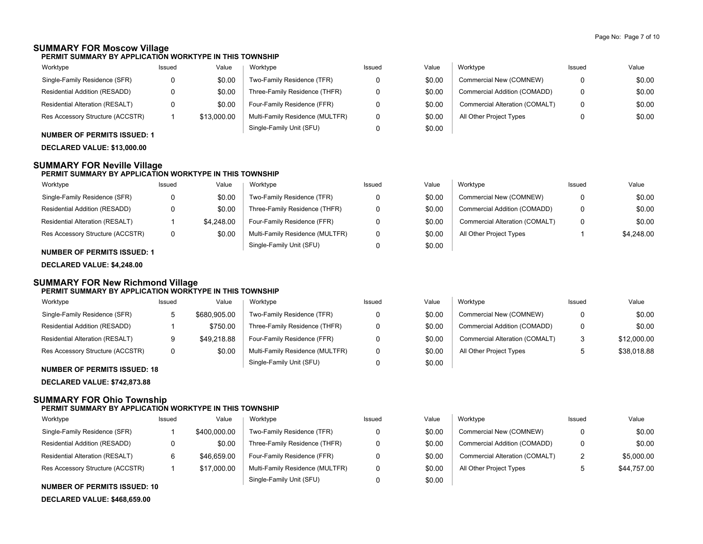## **SUMMARY FOR Moscow Village**

**PERMIT SUMMARY BY APPLICATION WORKTYPE IN THIS TOWNSHIP**

| Worktype                               | Issued | Value       | Worktype                        | Issued | Value  | Worktype                       | Issued | Value  |
|----------------------------------------|--------|-------------|---------------------------------|--------|--------|--------------------------------|--------|--------|
| Single-Family Residence (SFR)          |        | \$0.00      | Two-Family Residence (TFR)      |        | \$0.00 | Commercial New (COMNEW)        |        | \$0.00 |
| Residential Addition (RESADD)          |        | \$0.00      | Three-Family Residence (THFR)   |        | \$0.00 | Commercial Addition (COMADD)   |        | \$0.00 |
| <b>Residential Alteration (RESALT)</b> |        | \$0.00      | Four-Family Residence (FFR)     |        | \$0.00 | Commercial Alteration (COMALT) |        | \$0.00 |
| Res Accessory Structure (ACCSTR)       |        | \$13,000.00 | Multi-Family Residence (MULTFR) |        | \$0.00 | All Other Project Types        |        | \$0.00 |
|                                        |        |             | Single-Family Unit (SFU)        |        | \$0.00 |                                |        |        |

## **NUMBER OF PERMITS ISSUED: 1**

**DECLARED VALUE: \$13,000.00**

### **SUMMARY FOR Neville Village**

#### **PERMIT SUMMARY BY APPLICATION WORKTYPE IN THIS TOWNSHIP**

| Worktype                               | Issued | Value      | Worktype                        | Issued | Value  | Worktype                       | Issued | Value      |
|----------------------------------------|--------|------------|---------------------------------|--------|--------|--------------------------------|--------|------------|
| Single-Family Residence (SFR)          |        | \$0.00     | Two-Family Residence (TFR)      |        | \$0.00 | Commercial New (COMNEW)        |        | \$0.00     |
| Residential Addition (RESADD)          |        | \$0.00     | Three-Family Residence (THFR)   |        | \$0.00 | Commercial Addition (COMADD)   |        | \$0.00     |
| <b>Residential Alteration (RESALT)</b> |        | \$4.248.00 | Four-Family Residence (FFR)     |        | \$0.00 | Commercial Alteration (COMALT) |        | \$0.00     |
| Res Accessory Structure (ACCSTR)       |        | \$0.00     | Multi-Family Residence (MULTFR) |        | \$0.00 | All Other Project Types        |        | \$4,248.00 |
|                                        |        |            | Single-Family Unit (SFU)        |        | \$0.00 |                                |        |            |

### **NUMBER OF PERMITS ISSUED: 1**

**DECLARED VALUE: \$4,248.00**

#### **SUMMARY FOR New Richmond Village PERMIT SUMMARY BY APPLICATION WORKTYPE IN THIS TOWNSHIP**

| Worktype                         | Issued | Value        | Worktype                        | Issued | Value  | Worktype                       | Issued | Value       |
|----------------------------------|--------|--------------|---------------------------------|--------|--------|--------------------------------|--------|-------------|
| Single-Family Residence (SFR)    | ≎      | \$680,905.00 | Two-Family Residence (TFR)      |        | \$0.00 | Commercial New (COMNEW)        |        | \$0.00      |
| Residential Addition (RESADD)    |        | \$750.00     | Three-Family Residence (THFR)   |        | \$0.00 | Commercial Addition (COMADD)   | 0      | \$0.00      |
| Residential Alteration (RESALT)  | 9      | \$49.218.88  | Four-Family Residence (FFR)     |        | \$0.00 | Commercial Alteration (COMALT) | 3      | \$12,000.00 |
| Res Accessory Structure (ACCSTR) | 0      | \$0.00       | Multi-Family Residence (MULTFR) |        | \$0.00 | All Other Project Types        |        | \$38,018.88 |
| $\blacksquare$                   |        |              | Single-Family Unit (SFU)        |        | \$0.00 |                                |        |             |

#### **NUMBER OF PERMITS ISSUED: 18**

**DECLARED VALUE: \$742,873.88**

## **SUMMARY FOR Ohio Township**

#### **PERMIT SUMMARY BY APPLICATION WORKTYPE IN THIS TOWNSHIP**

| Worktype                         | Issued | Value        | Worktype                        | Issued | Value  | Worktype                       | Issued       | Value       |
|----------------------------------|--------|--------------|---------------------------------|--------|--------|--------------------------------|--------------|-------------|
| Single-Family Residence (SFR)    |        | \$400,000.00 | Two-Family Residence (TFR)      |        | \$0.00 | Commercial New (COMNEW)        |              | \$0.00      |
| Residential Addition (RESADD)    |        | \$0.00       | Three-Family Residence (THFR)   |        | \$0.00 | Commercial Addition (COMADD)   |              | \$0.00      |
| Residential Alteration (RESALT)  |        | \$46.659.00  | Four-Family Residence (FFR)     |        | \$0.00 | Commercial Alteration (COMALT) | 2            | \$5,000.00  |
| Res Accessory Structure (ACCSTR) |        | \$17,000.00  | Multi-Family Residence (MULTFR) |        | \$0.00 | All Other Project Types        | $\mathbf{p}$ | \$44.757.00 |
|                                  |        |              | Single-Family Unit (SFU)        |        | \$0.00 |                                |              |             |

#### **NUMBER OF PERMITS ISSUED: 10**

**DECLARED VALUE: \$468,659.00**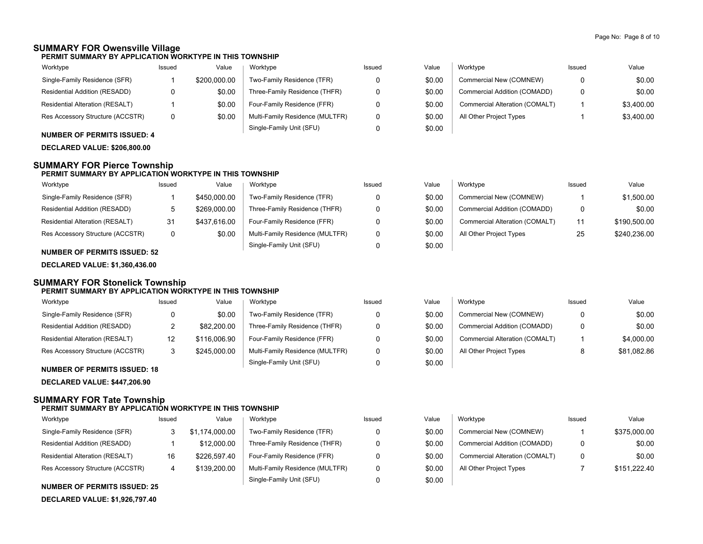## **SUMMARY FOR Owensville Village**

**PERMIT SUMMARY BY APPLICATION WORKTYPE IN THIS TOWNSHIP**

| Worktype                         | Issued | Value        | Worktype                        | Issued | Value  | Worktype                       | Issued | Value      |
|----------------------------------|--------|--------------|---------------------------------|--------|--------|--------------------------------|--------|------------|
| Single-Family Residence (SFR)    |        | \$200,000.00 | Two-Family Residence (TFR)      |        | \$0.00 | Commercial New (COMNEW)        |        | \$0.00     |
| Residential Addition (RESADD)    |        | \$0.00       | Three-Family Residence (THFR)   |        | \$0.00 | Commercial Addition (COMADD)   |        | \$0.00     |
| Residential Alteration (RESALT)  |        | \$0.00       | Four-Family Residence (FFR)     |        | \$0.00 | Commercial Alteration (COMALT) |        | \$3.400.00 |
| Res Accessory Structure (ACCSTR) |        | \$0.00       | Multi-Family Residence (MULTFR) |        | \$0.00 | All Other Project Types        |        | \$3,400.00 |
|                                  |        |              | Single-Family Unit (SFU)        |        | \$0.00 |                                |        |            |

## **NUMBER OF PERMITS ISSUED: 4**

**DECLARED VALUE: \$206,800.00**

## **SUMMARY FOR Pierce Township**

## **PERMIT SUMMARY BY APPLICATION WORKTYPE IN THIS TOWNSHIP**

| Worktype                         | Issued | Value        | Worktype                        | Issued | Value  | Worktype                       | Issued | Value        |
|----------------------------------|--------|--------------|---------------------------------|--------|--------|--------------------------------|--------|--------------|
| Single-Family Residence (SFR)    |        | \$450,000.00 | Two-Family Residence (TFR)      |        | \$0.00 | Commercial New (COMNEW)        |        | \$1,500.00   |
| Residential Addition (RESADD)    |        | \$269,000.00 | Three-Family Residence (THFR)   |        | \$0.00 | Commercial Addition (COMADD)   | 0      | \$0.00       |
| Residential Alteration (RESALT)  | 31     | \$437.616.00 | Four-Family Residence (FFR)     |        | \$0.00 | Commercial Alteration (COMALT) | 11     | \$190,500.00 |
| Res Accessory Structure (ACCSTR) | 0      | \$0.00       | Multi-Family Residence (MULTFR) | 0      | \$0.00 | All Other Project Types        | 25     | \$240.236.00 |
|                                  |        |              | Single-Family Unit (SFU)        |        | \$0.00 |                                |        |              |

### **NUMBER OF PERMITS ISSUED: 52**

**DECLARED VALUE: \$1,360,436.00**

#### **SUMMARY FOR Stonelick Township PERMIT SUMMARY BY APPLICATION WORKTYPE IN THIS TOWNSHIP**

| Worktype                               | Issued | Value        | Worktype                        | Issued | Value  | Worktype                       | Issued | Value       |
|----------------------------------------|--------|--------------|---------------------------------|--------|--------|--------------------------------|--------|-------------|
| Single-Family Residence (SFR)          | 0      | \$0.00       | Two-Family Residence (TFR)      |        | \$0.00 | Commercial New (COMNEW)        |        | \$0.00      |
| Residential Addition (RESADD)          | _      | \$82,200.00  | Three-Family Residence (THFR)   | n      | \$0.00 | Commercial Addition (COMADD)   |        | \$0.00      |
| <b>Residential Alteration (RESALT)</b> | 12     | \$116,006.90 | Four-Family Residence (FFR)     |        | \$0.00 | Commercial Alteration (COMALT) |        | \$4,000.00  |
| Res Accessory Structure (ACCSTR)       | ى      | \$245,000.00 | Multi-Family Residence (MULTFR) | 0      | \$0.00 | All Other Project Types        |        | \$81.082.86 |
| $\blacksquare$                         |        |              | Single-Family Unit (SFU)        |        | \$0.00 |                                |        |             |

#### **NUMBER OF PERMITS ISSUED: 18**

**DECLARED VALUE: \$447,206.90**

## **SUMMARY FOR Tate Township**

### **PERMIT SUMMARY BY APPLICATION WORKTYPE IN THIS TOWNSHIP**

| Worktype                         | Issued | Value        | Worktype                        | Issued | Value  | Worktype                       | Issued | Value        |
|----------------------------------|--------|--------------|---------------------------------|--------|--------|--------------------------------|--------|--------------|
| Single-Family Residence (SFR)    |        | .174.000.00  | Two-Family Residence (TFR)      |        | \$0.00 | Commercial New (COMNEW)        |        | \$375,000.00 |
| Residential Addition (RESADD)    |        | \$12,000.00  | Three-Family Residence (THFR)   |        | \$0.00 | Commercial Addition (COMADD)   |        | \$0.00       |
| Residential Alteration (RESALT)  | 16     | \$226,597.40 | Four-Family Residence (FFR)     |        | \$0.00 | Commercial Alteration (COMALT) | 0      | \$0.00       |
| Res Accessory Structure (ACCSTR) |        | \$139,200.00 | Multi-Family Residence (MULTFR) |        | \$0.00 | All Other Project Types        |        | \$151.222.40 |
| $\ddot{ }$                       |        |              | Single-Family Unit (SFU)        |        | \$0.00 |                                |        |              |

#### **NUMBER OF PERMITS ISSUED: 25**

**DECLARED VALUE: \$1,926,797.40**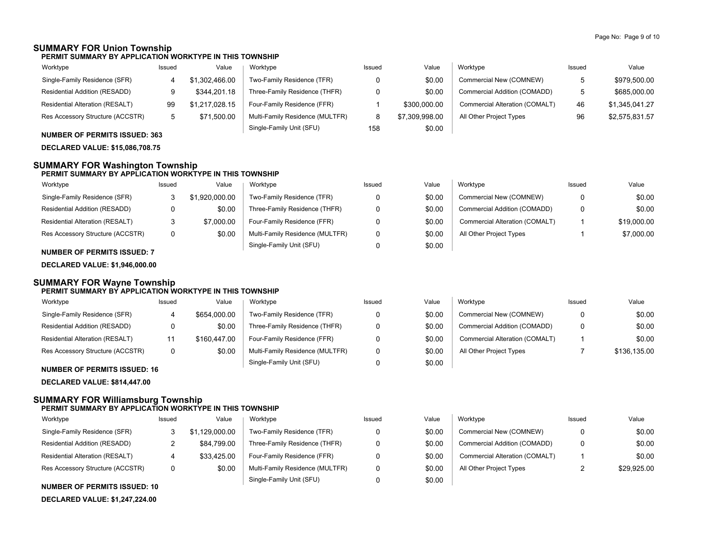## **SUMMARY FOR Union Township**

**PERMIT SUMMARY BY APPLICATION WORKTYPE IN THIS TOWNSHIP**

| Worktype                         | Issued | Value          | Worktype                        | Issued | Value          | Worktype                       | Issued | Value          |
|----------------------------------|--------|----------------|---------------------------------|--------|----------------|--------------------------------|--------|----------------|
| Single-Family Residence (SFR)    |        | \$1.302.466.00 | Two-Family Residence (TFR)      |        | \$0.00         | Commercial New (COMNEW)        |        | \$979,500.00   |
| Residential Addition (RESADD)    |        | \$344.201.18   | Three-Family Residence (THFR)   |        | \$0.00         | Commercial Addition (COMADD)   | Б.     | \$685,000.00   |
| Residential Alteration (RESALT)  | 99     | \$1,217,028.15 | Four-Family Residence (FFR)     |        | \$300,000.00   | Commercial Alteration (COMALT) | 46     | \$1.345.041.27 |
| Res Accessory Structure (ACCSTR) |        | \$71,500.00    | Multi-Family Residence (MULTFR) |        | \$7,309,998.00 | All Other Project Types        | 96     | \$2,575,831.57 |
|                                  |        |                | Single-Family Unit (SFU)        | 158    | \$0.00         |                                |        |                |

### **NUMBER OF PERMITS ISSUED: 363**

**DECLARED VALUE: \$15,086,708.75**

## **SUMMARY FOR Washington Township**

#### **PERMIT SUMMARY BY APPLICATION WORKTYPE IN THIS TOWNSHIP**

| Worktype                         | Issued | Value          | Worktype                        | Issued | Value  | Worktype                       | Issued | Value       |
|----------------------------------|--------|----------------|---------------------------------|--------|--------|--------------------------------|--------|-------------|
| Single-Family Residence (SFR)    |        | \$1.920.000.00 | Two-Family Residence (TFR)      |        | \$0.00 | Commercial New (COMNEW)        |        | \$0.00      |
| Residential Addition (RESADD)    |        | \$0.00         | Three-Family Residence (THFR)   |        | \$0.00 | Commercial Addition (COMADD)   |        | \$0.00      |
| Residential Alteration (RESALT)  |        | \$7.000.00     | Four-Family Residence (FFR)     |        | \$0.00 | Commercial Alteration (COMALT) |        | \$19,000.00 |
| Res Accessory Structure (ACCSTR) | 0      | \$0.00         | Multi-Family Residence (MULTFR) |        | \$0.00 | All Other Project Types        |        | \$7,000.00  |
|                                  |        |                | Single-Family Unit (SFU)        |        | \$0.00 |                                |        |             |

#### **NUMBER OF PERMITS ISSUED: 7**

**DECLARED VALUE: \$1,946,000.00**

#### **SUMMARY FOR Wayne Township PERMIT SUMMARY BY APPLICATION WORKTYPE IN THIS TOWNSHIP**

| Worktype                         | Issued | Value        | Worktype                        | Issued | Value  | Worktype                       | Issued | Value        |
|----------------------------------|--------|--------------|---------------------------------|--------|--------|--------------------------------|--------|--------------|
| Single-Family Residence (SFR)    |        | \$654,000.00 | Two-Family Residence (TFR)      |        | \$0.00 | Commercial New (COMNEW)        |        | \$0.00       |
| Residential Addition (RESADD)    |        | \$0.00       | Three-Family Residence (THFR)   |        | \$0.00 | Commercial Addition (COMADD)   |        | \$0.00       |
| Residential Alteration (RESALT)  |        | \$160,447.00 | Four-Family Residence (FFR)     |        | \$0.00 | Commercial Alteration (COMALT) |        | \$0.00       |
| Res Accessory Structure (ACCSTR) |        | \$0.00       | Multi-Family Residence (MULTFR) |        | \$0.00 | All Other Project Types        |        | \$136,135.00 |
| MUMBER OF BERMITO IOQUER, 40     |        |              | Single-Family Unit (SFU)        |        | \$0.00 |                                |        |              |

#### **NUMBER OF PERMITS ISSUED: 16**

**DECLARED VALUE: \$814,447.00**

## **SUMMARY FOR Williamsburg Township**

#### **PERMIT SUMMARY BY APPLICATION WORKTYPE IN THIS TOWNSHIP**

| Worktype                         | Issued | Value       | Worktype                        | Issued | Value  | Worktype                       | Issued | Value       |
|----------------------------------|--------|-------------|---------------------------------|--------|--------|--------------------------------|--------|-------------|
| Single-Family Residence (SFR)    |        | .129.000.00 | Two-Family Residence (TFR)      |        | \$0.00 | Commercial New (COMNEW)        | 0      | \$0.00      |
| Residential Addition (RESADD)    |        | \$84,799.00 | Three-Family Residence (THFR)   |        | \$0.00 | Commercial Addition (COMADD)   | 0      | \$0.00      |
| Residential Alteration (RESALT)  |        | \$33.425.00 | Four-Family Residence (FFR)     |        | \$0.00 | Commercial Alteration (COMALT) |        | \$0.00      |
| Res Accessory Structure (ACCSTR) | 0      | \$0.00      | Multi-Family Residence (MULTFR) |        | \$0.00 | All Other Project Types        |        | \$29,925.00 |
|                                  |        |             | Single-Family Unit (SFU)        |        | \$0.00 |                                |        |             |

#### **NUMBER OF PERMITS ISSUED: 10**

**DECLARED VALUE: \$1,247,224.00**